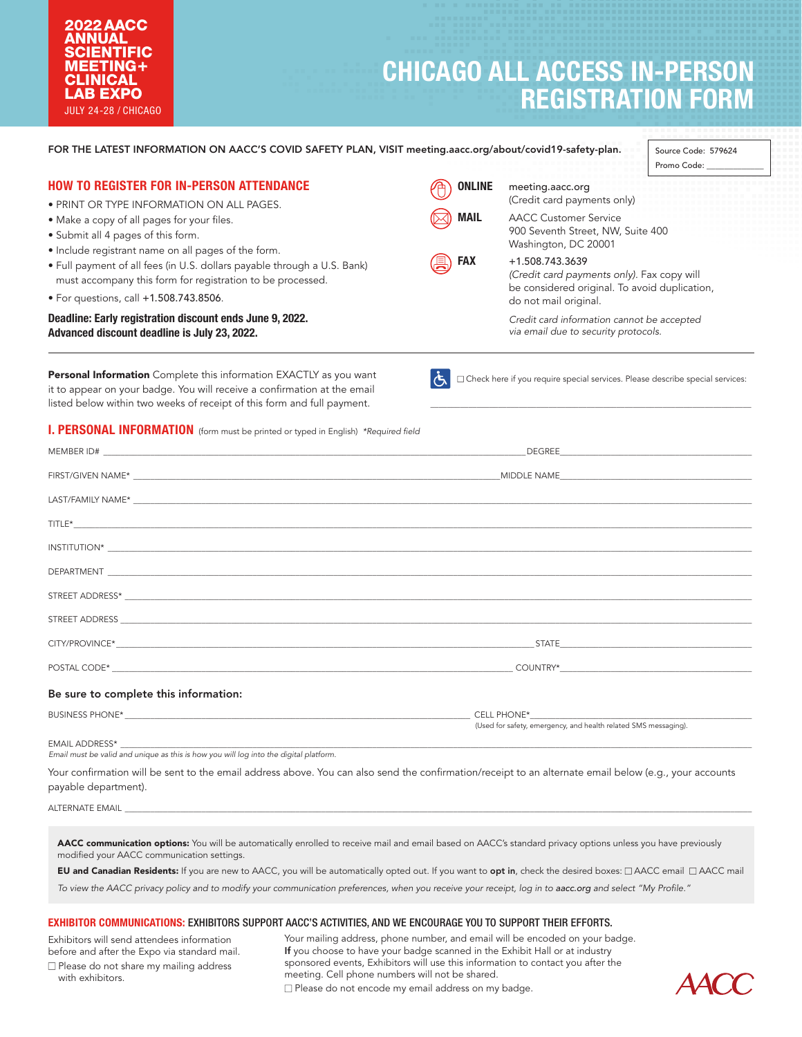## 2022AACC ANNUAL **SCIENTIFIC** MEETING**+** CLINICAL LAB EXPO JULY 24-28 / CHICAGO

# **CHICAGO ALL ACCESS IN-PERSON REGISTRATION FORM**

| FOR THE LATEST INFORMATION ON AACC'S COVID SAFETY PLAN, VISIT meeting.aacc.org/about/covid19-safety-plan.                                                                                                                 |                                                                                                                                                                                                                                     |                                                                                                                                                                                                                                    | Source Code: 579624<br>Promo Code: |
|---------------------------------------------------------------------------------------------------------------------------------------------------------------------------------------------------------------------------|-------------------------------------------------------------------------------------------------------------------------------------------------------------------------------------------------------------------------------------|------------------------------------------------------------------------------------------------------------------------------------------------------------------------------------------------------------------------------------|------------------------------------|
| <b>HOW TO REGISTER FOR IN-PERSON ATTENDANCE</b><br>• PRINT OR TYPE INFORMATION ON ALL PAGES.                                                                                                                              | <b>ONLINE</b>                                                                                                                                                                                                                       | meeting.aacc.org<br>(Credit card payments only)                                                                                                                                                                                    |                                    |
| · Make a copy of all pages for your files.<br>· Submit all 4 pages of this form.<br>• Include registrant name on all pages of the form.                                                                                   | <b>MAIL</b>                                                                                                                                                                                                                         | <b>AACC Customer Service</b><br>900 Seventh Street, NW, Suite 400<br>Washington, DC 20001                                                                                                                                          |                                    |
| . Full payment of all fees (in U.S. dollars payable through a U.S. Bank)<br>must accompany this form for registration to be processed.<br>• For questions, call +1.508.743.8506.                                          | <b>FAX</b>                                                                                                                                                                                                                          | +1.508.743.3639<br>(Credit card payments only). Fax copy will<br>be considered original. To avoid duplication,                                                                                                                     |                                    |
| Deadline: Early registration discount ends June 9, 2022.<br>Advanced discount deadline is July 23, 2022.                                                                                                                  |                                                                                                                                                                                                                                     | do not mail original.<br>Credit card information cannot be accepted<br>via email due to security protocols.                                                                                                                        |                                    |
| Personal Information Complete this information EXACTLY as you want<br>it to appear on your badge. You will receive a confirmation at the email<br>listed below within two weeks of receipt of this form and full payment. | IĠ.                                                                                                                                                                                                                                 | $\square$ Check here if you require special services. Please describe special services:                                                                                                                                            |                                    |
| I. PERSONAL INFORMATION (form must be printed or typed in English) *Required field                                                                                                                                        |                                                                                                                                                                                                                                     |                                                                                                                                                                                                                                    |                                    |
|                                                                                                                                                                                                                           | DEGREE <b>Example 2018</b> The Contract of the Contract of the Contract of the Contract of the Contract of the Contract of the Contract of the Contract of the Contract of the Contract of the Contract of the Contract of the Cont |                                                                                                                                                                                                                                    |                                    |
|                                                                                                                                                                                                                           |                                                                                                                                                                                                                                     |                                                                                                                                                                                                                                    |                                    |
|                                                                                                                                                                                                                           |                                                                                                                                                                                                                                     |                                                                                                                                                                                                                                    |                                    |
|                                                                                                                                                                                                                           |                                                                                                                                                                                                                                     |                                                                                                                                                                                                                                    |                                    |
| $\blacksquare$                                                                                                                                                                                                            |                                                                                                                                                                                                                                     |                                                                                                                                                                                                                                    |                                    |
|                                                                                                                                                                                                                           |                                                                                                                                                                                                                                     |                                                                                                                                                                                                                                    |                                    |
|                                                                                                                                                                                                                           |                                                                                                                                                                                                                                     |                                                                                                                                                                                                                                    |                                    |
|                                                                                                                                                                                                                           |                                                                                                                                                                                                                                     |                                                                                                                                                                                                                                    |                                    |
|                                                                                                                                                                                                                           |                                                                                                                                                                                                                                     |                                                                                                                                                                                                                                    |                                    |
|                                                                                                                                                                                                                           |                                                                                                                                                                                                                                     |                                                                                                                                                                                                                                    |                                    |
| Be sure to complete this information:                                                                                                                                                                                     |                                                                                                                                                                                                                                     |                                                                                                                                                                                                                                    |                                    |
|                                                                                                                                                                                                                           |                                                                                                                                                                                                                                     | <b>CELL PHONE*</b> THE RESIDENCE OF THE RESIDENCE OF THE RESIDENCE OF THE RESIDENCE OF THE RESIDENCE OF THE RESIDENCE OF THE RESIDENCE OF THE RESIDENCE OF THE RESIDENCE OF THE RESIDENCE OF THE RESIDENCE OF THE RESIDENCE OF THE |                                    |
| EMAIL ADDRESS*<br>Email must be valid and unique as this is how you will log into the digital platform.                                                                                                                   |                                                                                                                                                                                                                                     | (Used for safety, emergency, and health related SMS messaging).                                                                                                                                                                    |                                    |
| Your confirmation will be sent to the email address above. You can also send the confirmation/receipt to an alternate email below (e.g., your accounts<br>payable department).                                            |                                                                                                                                                                                                                                     |                                                                                                                                                                                                                                    |                                    |
|                                                                                                                                                                                                                           |                                                                                                                                                                                                                                     |                                                                                                                                                                                                                                    |                                    |

modified your AACC communication settings.

EU and Canadian Residents: If you are new to AACC, you will be automatically opted out. If you want to opt in, check the desired boxes:  $\Box$  AACC email  $\Box$  AACC mail

To view the AACC privacy policy and to modify your communication preferences, when you receive your receipt, log in to aacc.org and select "My Profile."

## EXHIBITOR COMMUNICATIONS: EXHIBITORS SUPPORT AACC'S ACTIVITIES, AND WE ENCOURAGE YOU TO SUPPORT THEIR EFFORTS.

Exhibitors will send attendees information before and after the Expo via standard mail.  $\square$  Please do not share my mailing address with exhibitors.

Your mailing address, phone number, and email will be encoded on your badge. If you choose to have your badge scanned in the Exhibit Hall or at industry sponsored events, Exhibitors will use this information to contact you after the meeting. Cell phone numbers will not be shared.  $\Box$  Please do not encode my email address on my badge.

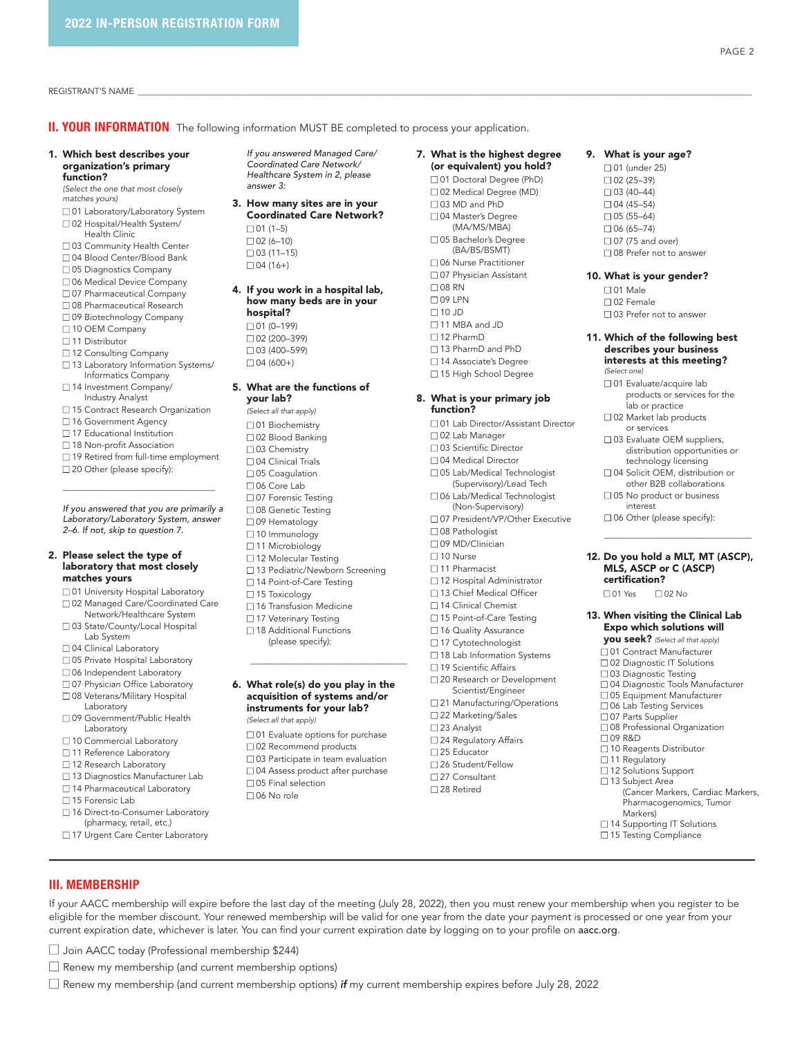REGISTRANT'S NAME \_\_\_\_\_\_\_\_\_\_\_\_\_\_\_\_\_\_\_\_\_\_\_\_\_\_\_\_\_\_\_\_\_\_\_\_\_\_\_\_\_\_\_\_\_\_\_\_\_\_\_\_\_\_\_\_\_\_\_\_\_\_\_\_\_\_\_\_\_\_\_\_\_\_\_\_\_\_\_\_\_\_\_\_\_\_\_\_\_\_\_\_\_\_\_\_\_\_\_\_\_\_\_\_\_\_\_\_\_\_\_\_\_\_\_\_\_\_\_\_\_\_\_\_\_\_\_\_\_\_\_\_\_\_\_\_\_\_\_\_\_\_\_\_

**II. YOUR INFORMATION** The following information MUST BE completed to process your application.

#### 1. Which best describes your organization's primary function?

*(Select the one that most closely matches yours)*

n 01 Laboratory/Laboratory System □ 02 Hospital/Health System/

- Health Clinic
- □ 03 Community Health Center
- □ 04 Blood Center/Blood Bank □ 05 Diagnostics Company
- □ 06 Medical Device Company
- □ 07 Pharmaceutical Company
- □ 08 Pharmaceutical Research
- □ 09 Biotechnology Company
- □ 10 OEM Company
- □ 11 Distributor
- □ 12 Consulting Company
- $\square$  13 Laboratory Information Systems/
- Informatics Company □ 14 Investment Company/
- Industry Analyst
- □ 15 Contract Research Organization
- □ 16 Government Agency
- □ 17 Educational Institution
- □ 18 Non-profit Association
- $\Box$  19 Retired from full-time employment □ 20 Other (please specify): \_\_\_\_\_\_\_\_\_\_\_\_\_\_\_\_\_\_\_\_\_\_\_\_\_\_\_\_\_\_\_\_\_\_

*If you answered that you are primarily a Laboratory/Laboratory System, answer 2–6. If not, skip to question 7.*

#### 2. Please select the type of laboratory that most closely matches yours

- □ 01 University Hospital Laboratory □ 02 Managed Care/Coordinated Care
- Network/Healthcare System □ 03 State/County/Local Hospital
- Lab System
- □ 04 Clinical Laboratory
- □ 05 Private Hospital Laboratory
- $\Box$  06 Independent Laboratory □ 07 Physician Office Laboratory
- □ 08 Veterans/Military Hospital Laboratory
- □ 09 Government/Public Health Laboratory
- □ 10 Commercial Laboratory
- □ 11 Reference Laboratory
- □ 12 Research Laboratory
- □ 13 Diagnostics Manufacturer Lab
- □ 14 Pharmaceutical Laboratory
- n 15 Forensic Lab

III. MEMBERSHIP

- □ 16 Direct-to-Consumer Laboratory (pharmacy, retail, etc.)
- □ 17 Urgent Care Center Laboratory

□ Join AACC today (Professional membership \$244)  $\Box$  Renew my membership (and current membership options)

*If you answered Managed Care/ Coordinated Care Network/ Healthcare System in 2, please answer 3:*

3. How many sites are in your Coordinated Care Network?  $\Box$  01 (1–5)

 $\Box$  02 (6-10)  $\Box$  03 (11–15)  $\Box$  04 (16+)

4. If you work in a hospital lab, how many beds are in your hospital?  $\Box$  01 (0–199)  $\Box$  02 (200-399)  $\Box$  03 (400–599)  $\Box$  04 (600+)

# 5. What are the functions of

- your lab? *(Select all that apply)*  $\Box$  01 Biochemistry □ 02 Blood Banking □ 03 Chemistry  $\Box$  04 Clinical Trials □ 05 Coagulation  $\Box$  06 Core Lab □ 07 Forensic Testing n 08 Genetic Testing □ 09 Hematology  $\square$  10 Immunology □ 11 Microbiology  $\square$  12 Molecular Testing □ 13 Pediatric/Newborn Screening □ 14 Point-of-Care Testing □ 15 Toxicology  $\square$  16 Transfusion Medicine
- □ 17 Veterinary Testing
- $\Box$  18 Additional Functions
	- (please specify):
- 6. What role(s) do you play in the acquisition of systems and/or instruments for your lab? *(Select all that apply)*

\_\_\_\_\_\_\_\_\_\_\_\_\_\_\_\_\_\_\_\_\_\_\_\_\_\_\_\_\_\_\_\_\_\_\_

- 
- $\square$  01 Evaluate options for purchase
- $\square$  02 Recommend products  $\Box$  03 Participate in team evaluation
- $\square$  04 Assess product after purchase

current expiration date, whichever is later. You can find your current expiration date by logging on to your profile on aacc.org.

n Renew my membership (and current membership options) *if* my current membership expires before July 28, 2022

- $\square$  05 Final selection
- $\Box$  06 No role

#### 7. What is the highest degree (or equivalent) you hold?

- □ 01 Doctoral Degree (PhD) □ 02 Medical Degree (MD) □ 03 MD and PhD □ 04 Master's Degree (MA/MS/MBA) □ 05 Bachelor's Degree (BA/BS/BSMT) □ 06 Nurse Practitioner □ 07 Physician Assistant  $\Box$  08 RN  $\Box$  09 LPN  $\Box$  10 JD  $\Box$  11 MBA and JD
- n 12 PharmD
- □ 13 PharmD and PhD
- 
- □ 14 Associate's Degree □ 15 High School Degree
- 

#### 8. What is your primary job function?

- □ 01 Lab Director/Assistant Director
- □ 02 Lab Manager
- □ 03 Scientific Director
- □ 04 Medical Director
- □ 05 Lab/Medical Technologist
- (Supervisory)/Lead Tech □ 06 Lab/Medical Technologist
- (Non-Supervisory)
- □ 07 President/VP/Other Executive
- $\Box$  08 Pathologist
- □ 09 MD/Clinician
- $\square$  10 Nurse
- □ 11 Pharmacist
- □ 12 Hospital Administrator
- □ 13 Chief Medical Officer
- □ 14 Clinical Chemist
- □ 15 Point-of-Care Testing
- □ 16 Quality Assurance
- □ 17 Cytotechnologist  $\Box$  18 Lab Information Systems
- $\square$  19 Scientific Affairs
- 
- □ 20 Research or Development Scientist/Engineer
- □ 21 Manufacturing/Operations
- □ 22 Marketing/Sales
- $\square$  23 Analyst
- $\square$  24 Regulatory Affairs
- □ 25 Educator □ 26 Student/Fellow
- □ 27 Consultant
- n 28 Retired

If your AACC membership will expire before the last day of the meeting (July 28, 2022), then you must renew your membership when you register to be eligible for the member discount. Your renewed membership will be valid for one year from the date your payment is processed or one year from your

# 9. What is your age?

PAGE 2

 $\Box$  01 (under 25)  $\Box$  02 (25–39)  $\Box$  03 (40–44)  $\Box$  04 (45–54)  $\square$  05 (55–64)  $\Box$  06 (65–74)  $\Box$  07 (75 and over) □ 08 Prefer not to answer

### 10. What is your gender?

- $\Box$  01 Male  $\Box$  02 Female  $\Box$  03 Prefer not to answer
- 11. Which of the following best describes your business interests at this meeting? *(Select one)*

□ 02 Market lab products or services  $\Box$  03 Evaluate OEM suppliers, distribution opportunities or technology licensing □ 04 Solicit OEM, distribution or other B2B collaborations  $\square$  05 No product or business interest  $\square$  06 Other (please specify): \_\_\_\_\_\_\_\_\_\_\_\_\_\_\_\_\_\_\_\_\_\_\_\_\_\_\_\_\_\_\_\_\_ 12. Do you hold a MLT, MT (ASCP), MLS, ASCP or C (ASCP)

certification? □ 01 Yes □ 02 No

13. When visiting the Clinical Lab Expo which solutions will you seek? *(Select all that apply)* □ 01 Contract Manufacturer □ 02 Diagnostic IT Solutions □ 03 Diagnostic Testing n 04 Diagnostic Tools Manufacturer □ 05 Equipment Manufacturer □ 06 Lab Testing Services □ 07 Parts Supplier

□ 08 Professional Organization

(Cancer Markers, Cardiac Markers, Pharmacogenomics, Tumor

□ 10 Reagents Distributor □ 11 Regulatory □ 12 Solutions Support □ 13 Subject Area

Markers) □ 14 Supporting IT Solutions □ 15 Testing Compliance

□ 09 R&D

□ 01 Evaluate/acquire lab products or services for the lab or practice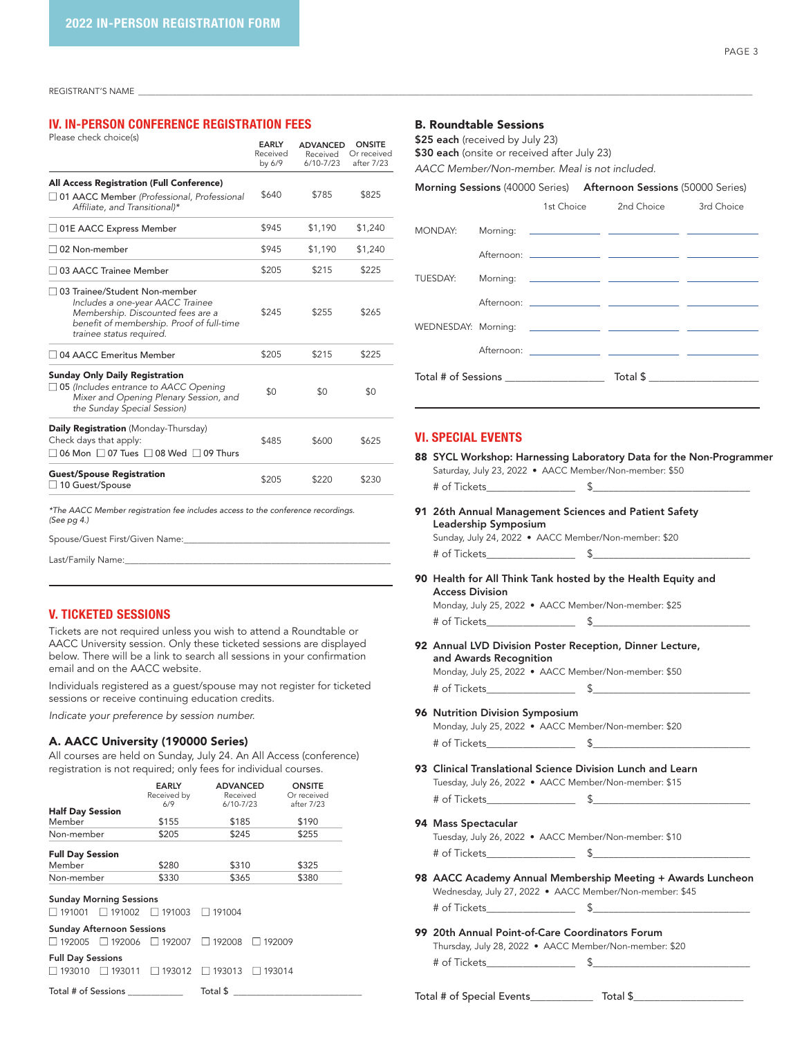REGISTRANT'S NAME \_\_\_\_\_\_\_\_\_\_\_\_\_\_\_\_\_\_\_\_\_\_\_\_\_\_\_\_\_\_\_\_\_\_\_\_\_\_\_\_\_\_\_\_\_\_\_\_\_\_\_\_\_\_\_\_\_\_\_\_\_\_\_\_\_\_\_\_\_\_\_\_\_\_\_\_\_\_\_\_\_\_\_\_\_\_\_\_\_\_\_\_\_\_\_\_\_\_\_\_\_\_\_\_\_\_\_\_\_\_\_\_\_\_\_\_\_\_\_\_\_\_\_\_\_\_\_\_\_\_\_\_\_\_\_\_\_\_\_\_\_\_\_\_

# IV. IN-PERSON CONFERENCE REGISTRATION FEES

| Please check choice(s)                                                                                                                                                            | <b>EARLY</b><br>Received<br>by 6/9 | <b>ADVANCED</b><br>Received<br>$6/10 - 7/23$ | <b>ONSITE</b><br>Or received<br>after 7/23 |
|-----------------------------------------------------------------------------------------------------------------------------------------------------------------------------------|------------------------------------|----------------------------------------------|--------------------------------------------|
| <b>All Access Registration (Full Conference)</b>                                                                                                                                  |                                    |                                              |                                            |
| □ 01 AACC Member (Professional, Professional<br>Affiliate, and Transitional)*                                                                                                     | \$640                              | \$785                                        | \$825                                      |
| $\Box$ 01E AACC Express Member                                                                                                                                                    | \$945                              | \$1,190                                      | \$1,240                                    |
| 02 Non-member                                                                                                                                                                     | \$945                              | \$1,190                                      | \$1,240                                    |
| $\sqcap$ 03 AACC Trainee Member                                                                                                                                                   | \$205                              | \$215                                        | \$225                                      |
| □ 03 Trainee/Student Non-member<br>Includes a one-year AACC Trainee<br>Membership. Discounted fees are a<br>benefit of membership. Proof of full-time<br>trainee status required. | \$245                              | \$255                                        | \$265                                      |
| $\sqcap$ 04 AACC Emeritus Member                                                                                                                                                  | \$205                              | \$215                                        | \$225                                      |
| <b>Sunday Only Daily Registration</b><br>$\Box$ 05 (Includes entrance to AACC Opening<br>Mixer and Opening Plenary Session, and<br>the Sunday Special Session)                    | \$0                                | \$0                                          | \$0                                        |
| Daily Registration (Monday-Thursday)<br>Check days that apply:<br>$\Box$ 06 Mon $\Box$ 07 Tues $\Box$ 08 Wed $\Box$ 09 Thurs                                                      | \$485                              | \$600                                        | \$625                                      |
| <b>Guest/Spouse Registration</b><br>□ 10 Guest/Spouse                                                                                                                             | \$205                              | \$220                                        | \$230                                      |
| *The AACC Member registration fee includes access to the conference recordings.<br>(See pg 4.)                                                                                    |                                    |                                              |                                            |

Spouse/Guest First/Given Name:

Last/Family Name:

## V. TICKETED SESSIONS

Tickets are not required unless you wish to attend a Roundtable or AACC University session. Only these ticketed sessions are displayed below. There will be a link to search all sessions in your confirmation email and on the AACC website.

Individuals registered as a guest/spouse may not register for ticketed sessions or receive continuing education credits.

*Indicate your preference by session number.*

## A. AACC University (190000 Series)

All courses are held on Sunday, July 24. An All Access (conference) registration is not required; only fees for individual courses.

|                                    |                                                   | <b>EARLY</b><br>Received by<br>6/9 | <b>ADVANCED</b><br>Received<br>$6/10 - 7/23$ |               | <b>ONSITE</b><br>Or received<br>after 7/23 |
|------------------------------------|---------------------------------------------------|------------------------------------|----------------------------------------------|---------------|--------------------------------------------|
| <b>Half Day Session</b><br>Member  |                                                   | \$155                              | \$185                                        |               | \$190                                      |
| Non-member                         |                                                   | \$205                              | \$245                                        |               | \$255                                      |
| <b>Full Day Session</b><br>Member  |                                                   | \$280                              | \$310                                        |               | \$325                                      |
| Non-member                         |                                                   | \$330                              | \$365                                        |               | \$380                                      |
| $\Box$ 191001                      | <b>Sunday Morning Sessions</b><br>$\Box$ 191002   | $\Box$ 191003                      | $\Box$ 191004                                |               |                                            |
| □ 192005                           | <b>Sunday Afternoon Sessions</b><br>$\Box$ 192006 | $\Box$ 192007                      | $\Box$ 192008                                | 192009        |                                            |
| <b>Full Day Sessions</b><br>193010 | □ 193011                                          | $\Box$ 193012                      | $\Box$ 193013                                | $\Box$ 193014 |                                            |
| Total # of Sessions                |                                                   |                                    | Total \$                                     |               |                                            |

#### B. Roundtable Sessions

\$25 each (received by July 23)

\$30 each (onsite or received after July 23)

*AACC Member/Non-member. Meal is not included.*

## Morning Sessions (40000 Series) Afternoon Sessions (50000 Series)

|  |                                           | 1st Choice 2nd Choice 3rd Choice |  |
|--|-------------------------------------------|----------------------------------|--|
|  |                                           |                                  |  |
|  |                                           |                                  |  |
|  |                                           |                                  |  |
|  |                                           |                                  |  |
|  |                                           |                                  |  |
|  |                                           |                                  |  |
|  | Total # of Sessions _____________________ |                                  |  |
|  |                                           |                                  |  |

#### VI. SPECIAL EVENTS

- 88 SYCL Workshop: Harnessing Laboratory Data for the Non-Programmer Saturday, July 23, 2022 • AACC Member/Non-member: \$50 # of Tickets\_\_\_\_\_\_\_\_\_\_\_\_\_\_\_\_\_ \$\_\_\_\_\_\_\_\_\_\_\_\_\_\_\_\_\_\_\_\_\_\_\_\_\_\_\_\_\_\_
- 91 26th Annual Management Sciences and Patient Safety Leadership Symposium

Sunday, July 24, 2022 • AACC Member/Non-member: \$20 # of Tickets\_\_\_\_\_\_\_\_\_\_\_\_\_\_\_\_\_ \$\_\_\_\_\_\_\_\_\_\_\_\_\_\_\_\_\_\_\_\_\_\_\_\_\_\_\_\_\_\_

90 Health for All Think Tank hosted by the Health Equity and Access Division

Monday, July 25, 2022 • AACC Member/Non-member: \$25 # of Tickets  $\qquad \qquad \bullet$ 

- 92 Annual LVD Division Poster Reception, Dinner Lecture, and Awards Recognition Monday, July 25, 2022 • AACC Member/Non-member: \$50
	- # of Tickets  $\qquad \qquad \text{S}$

96 Nutrition Division Symposium Monday, July 25, 2022 • AACC Member/Non-member: \$20 # of Tickets\_\_\_\_\_\_\_\_\_\_\_\_\_\_\_\_\_ \$\_\_\_\_\_\_\_\_\_\_\_\_\_\_\_\_\_\_\_\_\_\_\_\_\_\_\_\_\_\_

93 Clinical Translational Science Division Lunch and Learn Tuesday, July 26, 2022 • AACC Member/Non-member: \$15 # of Tickets\_\_\_\_\_\_\_\_\_\_\_\_\_\_\_\_\_ \$\_\_\_\_\_\_\_\_\_\_\_\_\_\_\_\_\_\_\_\_\_\_\_\_\_\_\_\_\_\_

#### 94 Mass Spectacular

Tuesday, July 26, 2022 • AACC Member/Non-member: \$10 # of Tickets\_\_\_\_\_\_\_\_\_\_\_\_\_\_\_\_\_ \$\_\_\_\_\_\_\_\_\_\_\_\_\_\_\_\_\_\_\_\_\_\_\_\_\_\_\_\_\_\_

- 98 AACC Academy Annual Membership Meeting + Awards Luncheon Wednesday, July 27, 2022 • AACC Member/Non-member: \$45 # of Tickets\_\_\_\_\_\_\_\_\_\_\_\_\_\_\_\_\_ \$\_\_\_\_\_\_\_\_\_\_\_\_\_\_\_\_\_\_\_\_\_\_\_\_\_\_\_\_\_\_
- 99 20th Annual Point-of-Care Coordinators Forum Thursday, July 28, 2022 • AACC Member/Non-member: \$20 # of Tickets\_\_\_\_\_\_\_\_\_\_\_\_\_\_\_\_\_ \$\_\_\_\_\_\_\_\_\_\_\_\_\_\_\_\_\_\_\_\_\_\_\_\_\_\_\_\_\_\_

Total # of Special Events\_\_\_\_\_\_\_\_\_\_\_\_ Total \$\_\_\_\_\_\_\_\_\_\_\_\_\_\_\_\_\_\_\_\_\_